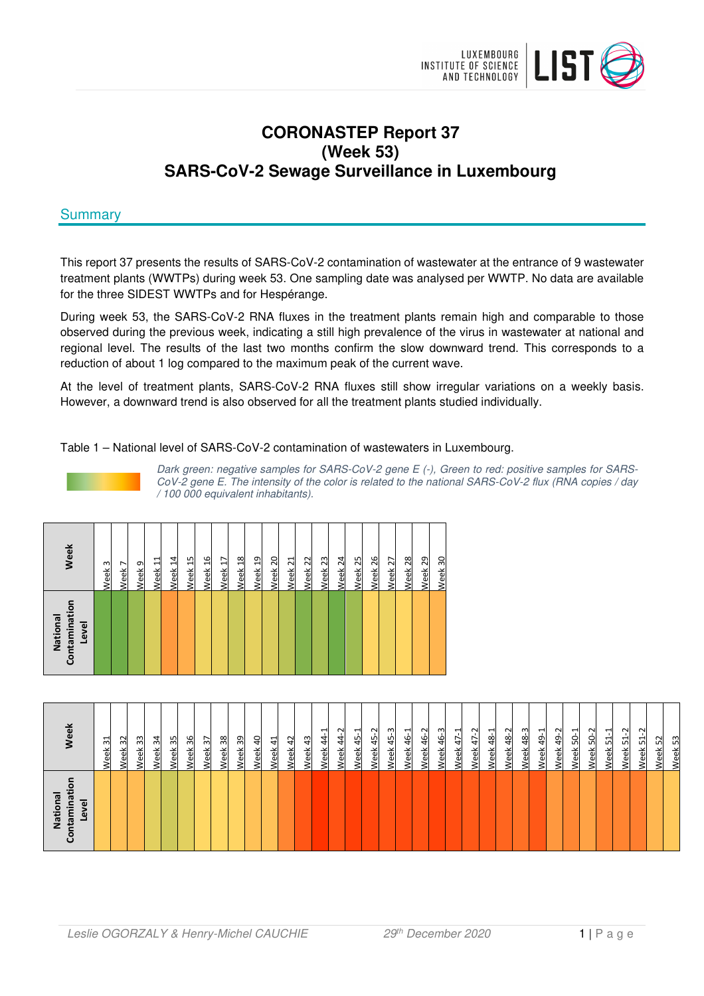

# **CORONASTEP Report 37 (Week 53) SARS-CoV-2 Sewage Surveillance in Luxembourg**

# **Summary**

This report 37 presents the results of SARS-CoV-2 contamination of wastewater at the entrance of 9 wastewater treatment plants (WWTPs) during week 53. One sampling date was analysed per WWTP. No data are available for the three SIDEST WWTPs and for Hespérange.

During week 53, the SARS-CoV-2 RNA fluxes in the treatment plants remain high and comparable to those observed during the previous week, indicating a still high prevalence of the virus in wastewater at national and regional level. The results of the last two months confirm the slow downward trend. This corresponds to a reduction of about 1 log compared to the maximum peak of the current wave.

At the level of treatment plants, SARS-CoV-2 RNA fluxes still show irregular variations on a weekly basis. However, a downward trend is also observed for all the treatment plants studied individually.

Table 1 – National level of SARS-CoV-2 contamination of wastewaters in Luxembourg.



Dark green: negative samples for SARS-CoV-2 gene E (-), Green to red: positive samples for SARS-CoV-2 gene E. The intensity of the color is related to the national SARS-CoV-2 flux (RNA copies / day / 100 000 equivalent inhabitants).

| Contaminatio<br>National<br>Level | Week               |
|-----------------------------------|--------------------|
|                                   | Week <sub>3</sub>  |
|                                   | Week <sub>7</sub>  |
|                                   | Week 9             |
|                                   | Week <sub>11</sub> |
|                                   | Week 14            |
|                                   | Week <sub>15</sub> |
|                                   | Week 16            |
|                                   | Week <sub>17</sub> |
|                                   | Week <sub>18</sub> |
|                                   | Week <sub>19</sub> |
|                                   | Week <sub>20</sub> |
|                                   | Week <sub>21</sub> |
|                                   | Week <sub>22</sub> |
|                                   | Week <sub>23</sub> |
|                                   | Week <sub>24</sub> |
|                                   | Week <sub>25</sub> |
|                                   | Week <sub>26</sub> |
|                                   | Week <sub>27</sub> |
|                                   | Week <sub>28</sub> |
|                                   | Week <sub>29</sub> |
|                                   | Week <sub>30</sub> |

| Veek                            | ಸ<br><b>Neek</b> | $\mathfrak{Z}$<br>Week | အ<br>Week | 34<br>Week | ౘ<br>Week | 36<br>Week | $\mathfrak{L}$<br><b>Neek</b> | 38<br>Week | 39<br>Week | ੩<br>Week | 41<br>Week | $\overline{4}$<br>Week | æ,<br>Week | ⊣<br>\$<br><b>Neek</b> | $\sim$<br>$\ddot{a}$<br><b>Neek</b> | ÷<br>45<br>/eek | $\sim$<br>$\ddot{a}$<br>eek | က္<br>$\frac{45}{5}$<br><b>Neek</b> | 린<br>46<br>Week | ೆ<br>46<br>Week | 46-3<br>Week | $47 - 1$<br><b>Neek</b> | $47 - 2$<br><b>Neek</b> | $48 - 1$<br><b>Neek</b> | 48-2<br><b>Neek</b> | 48-3<br><b>Neek</b> | $49 - 1$<br>Week | $49 - 2$<br><b>Neek</b> | $50-1$<br><b>Neek</b> | $50-2$<br><b>Week</b> | $51 - 1$<br>Week | $\sim$<br>ᄓ<br>Week | 51<br>Week | 52<br>Week | အ<br><u>eek</u> |
|---------------------------------|------------------|------------------------|-----------|------------|-----------|------------|-------------------------------|------------|------------|-----------|------------|------------------------|------------|------------------------|-------------------------------------|-----------------|-----------------------------|-------------------------------------|-----------------|-----------------|--------------|-------------------------|-------------------------|-------------------------|---------------------|---------------------|------------------|-------------------------|-----------------------|-----------------------|------------------|---------------------|------------|------------|-----------------|
| National<br>Level<br>iin<br>ក្ល |                  |                        |           |            |           |            |                               |            |            |           |            |                        |            |                        |                                     |                 |                             |                                     |                 |                 |              |                         |                         |                         |                     |                     |                  |                         |                       |                       |                  |                     |            |            |                 |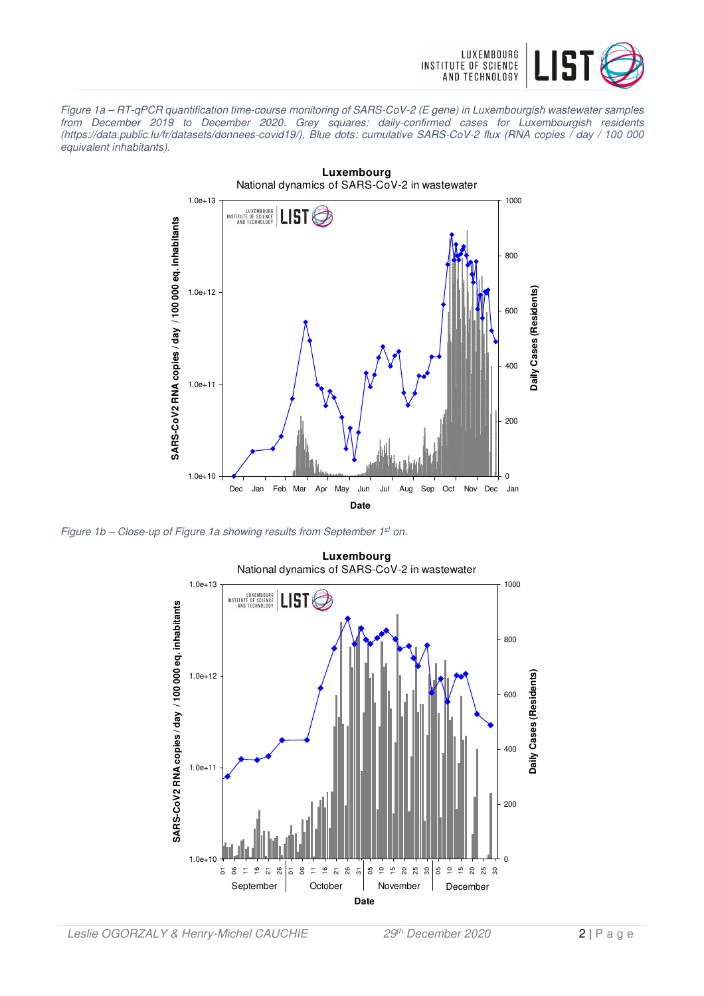

Figure 1a – RT-qPCR quantification time-course monitoring of SARS-CoV-2 (E gene) in Luxembourgish wastewater samples from December 2019 to December 2020. Grey squares: daily-confirmed cases for Luxembourgish residents (https://data.public.lu/fr/datasets/donnees-covid19/), Blue dots: cumulative SARS-CoV-2 flux (RNA copies / day / 100 000 equivalent inhabitants).



Figure 1b - Close-up of Figure 1a showing results from September 1<sup>st</sup> on.

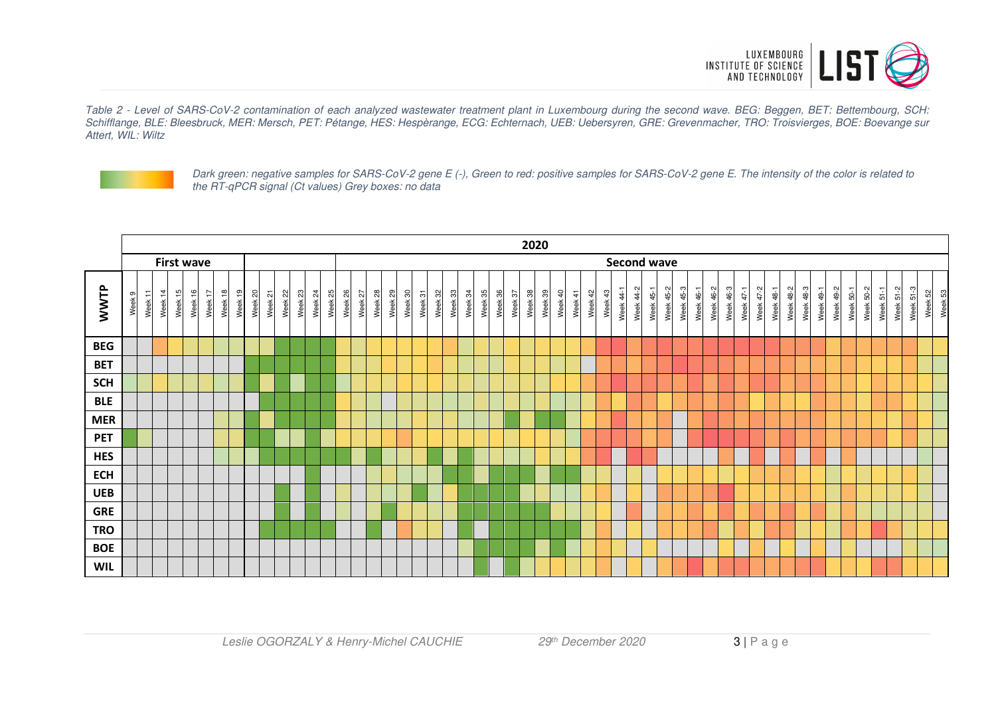

Table 2 - Level of SARS-CoV-2 contamination of each analyzed wastewater treatment plant in Luxembourg during the second wave. BEG: Beggen, BET: Bettembourg, SCH: Schifflange, BLE: Bleesbruck, MER: Mersch, PET: Pétange, HES: Hespèrange, ECG: Echternach, UEB: Uebersyren, GRE: Grevenmacher, TRO: Troisvierges, BOE: Boevange sur Attert, WIL: Wiltz



Dark green: negative samples for SARS-CoV-2 gene E (-), Green to red: positive samples for SARS-CoV-2 gene E. The intensity of the color is related to the RT-qPCR signal (Ct values) Grey boxes: no data

|            |                                            |         |         |                   |                    |         |         |         |         |         |                   |         |         |         |                    |         |         |         |         |         |         |         |         | 2020                  |         |         |                       |         |         |                    |                  |           |                                      |           |              |                  |           |           |           |                  |                  |           |                  |           |           |                  |           |           |                    |
|------------|--------------------------------------------|---------|---------|-------------------|--------------------|---------|---------|---------|---------|---------|-------------------|---------|---------|---------|--------------------|---------|---------|---------|---------|---------|---------|---------|---------|-----------------------|---------|---------|-----------------------|---------|---------|--------------------|------------------|-----------|--------------------------------------|-----------|--------------|------------------|-----------|-----------|-----------|------------------|------------------|-----------|------------------|-----------|-----------|------------------|-----------|-----------|--------------------|
|            |                                            |         |         | <b>First wave</b> |                    |         |         |         |         |         |                   |         |         |         |                    |         |         |         |         |         |         |         |         |                       |         |         |                       |         |         | <b>Second wave</b> |                  |           |                                      |           |              |                  |           |           |           |                  |                  |           |                  |           |           |                  |           |           |                    |
| WWTP       | $\overline{\phantom{a}}$<br>Week 9<br>Week | Week 14 | Week 15 | Week 16           | Week 17<br>Week 18 | Week 19 | Week 20 | Week 21 | Week 22 | Week 23 | $\approx$<br>Week | Week 25 | Week 26 | Week 27 | Week 28<br>Week 29 | Week 30 | Week 31 | Week 32 | Week 33 | Week 34 | Week 35 | Week 36 | Week 37 | $\frac{8}{2}$<br>Week | Week 39 | Week 40 | $\frac{1}{4}$<br>Week | Week 42 | Week 43 | $44-1$<br>Week     | <b>Week 44-2</b> | Week 45-1 | <b>Week 45-2</b><br><b>Week 45-3</b> | Week 46-1 | 46-2<br>Week | <b>Week 46-3</b> | Week 47-1 | Week 47-2 | Week 48-1 | <b>Week 48-2</b> | <b>Week 48-3</b> | Week 49-1 | <b>Week 49-2</b> | Week 50-1 | Week 50-2 | $51-1$<br>Week ! | Week 51-2 | Week 51-3 | Week 52<br>Week 53 |
| <b>BEG</b> |                                            |         |         |                   |                    |         |         |         |         |         |                   |         |         |         |                    |         |         |         |         |         |         |         |         |                       |         |         |                       |         |         |                    |                  |           |                                      |           |              |                  |           |           |           |                  |                  |           |                  |           |           |                  |           |           |                    |
| <b>BET</b> |                                            |         |         |                   |                    |         |         |         |         |         |                   |         |         |         |                    |         |         |         |         |         |         |         |         |                       |         |         |                       |         |         |                    |                  |           |                                      |           |              |                  |           |           |           |                  |                  |           |                  |           |           |                  |           |           |                    |
| <b>SCH</b> |                                            |         |         |                   |                    |         |         |         |         |         |                   |         |         |         |                    |         |         |         |         |         |         |         |         |                       |         |         |                       |         |         |                    |                  |           |                                      |           |              |                  |           |           |           |                  |                  |           |                  |           |           |                  |           |           |                    |
| <b>BLE</b> |                                            |         |         |                   |                    |         |         |         |         |         |                   |         |         |         |                    |         |         |         |         |         |         |         |         |                       |         |         |                       |         |         |                    |                  |           |                                      |           |              |                  |           |           |           |                  |                  |           |                  |           |           |                  |           |           |                    |
| <b>MER</b> |                                            |         |         |                   |                    |         |         |         |         |         |                   |         |         |         |                    |         |         |         |         |         |         |         |         |                       |         |         |                       |         |         |                    |                  |           |                                      |           |              |                  |           |           |           |                  |                  |           |                  |           |           |                  |           |           |                    |
| <b>PET</b> |                                            |         |         |                   |                    |         |         |         |         |         |                   |         |         |         |                    |         |         |         |         |         |         |         |         |                       |         |         |                       |         |         |                    |                  |           |                                      |           |              |                  |           |           |           |                  |                  |           |                  |           |           |                  |           |           |                    |
| <b>HES</b> |                                            |         |         |                   |                    |         |         |         |         |         |                   |         |         |         |                    |         |         |         |         |         |         |         |         |                       |         |         |                       |         |         |                    |                  |           |                                      |           |              |                  |           |           |           |                  |                  |           |                  |           |           |                  |           |           |                    |
| <b>ECH</b> |                                            |         |         |                   |                    |         |         |         |         |         |                   |         |         |         |                    |         |         |         |         |         |         |         |         |                       |         |         |                       |         |         |                    |                  |           |                                      |           |              |                  |           |           |           |                  |                  |           |                  |           |           |                  |           |           |                    |
| <b>UEB</b> |                                            |         |         |                   |                    |         |         |         |         |         |                   |         |         |         |                    |         |         |         |         |         |         |         |         |                       |         |         |                       |         |         |                    |                  |           |                                      |           |              |                  |           |           |           |                  |                  |           |                  |           |           |                  |           |           |                    |
| <b>GRE</b> |                                            |         |         |                   |                    |         |         |         |         |         |                   |         |         |         |                    |         |         |         |         |         |         |         |         |                       |         |         |                       |         |         |                    |                  |           |                                      |           |              |                  |           |           |           |                  |                  |           |                  |           |           |                  |           |           |                    |
| <b>TRO</b> |                                            |         |         |                   |                    |         |         |         |         |         |                   |         |         |         |                    |         |         |         |         |         |         |         |         |                       |         |         |                       |         |         |                    |                  |           |                                      |           |              |                  |           |           |           |                  |                  |           |                  |           |           |                  |           |           |                    |
| <b>BOE</b> |                                            |         |         |                   |                    |         |         |         |         |         |                   |         |         |         |                    |         |         |         |         |         |         |         |         |                       |         |         |                       |         |         |                    |                  |           |                                      |           |              |                  |           |           |           |                  |                  |           |                  |           |           |                  |           |           |                    |
| <b>WIL</b> |                                            |         |         |                   |                    |         |         |         |         |         |                   |         |         |         |                    |         |         |         |         |         |         |         |         |                       |         |         |                       |         |         |                    |                  |           |                                      |           |              |                  |           |           |           |                  |                  |           |                  |           |           |                  |           |           |                    |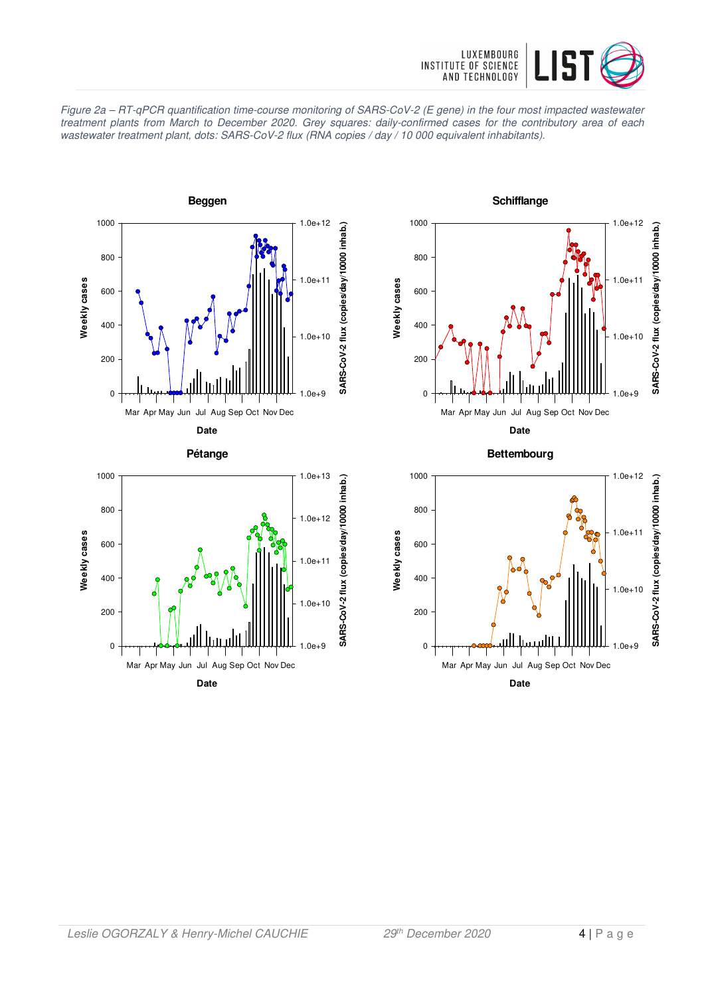

Figure 2a – RT-qPCR quantification time-course monitoring of SARS-CoV-2 (E gene) in the four most impacted wastewater treatment plants from March to December 2020. Grey squares: daily-confirmed cases for the contributory area of each wastewater treatment plant, dots: SARS-CoV-2 flux (RNA copies / day / 10 000 equivalent inhabitants).







**Bettembourg**

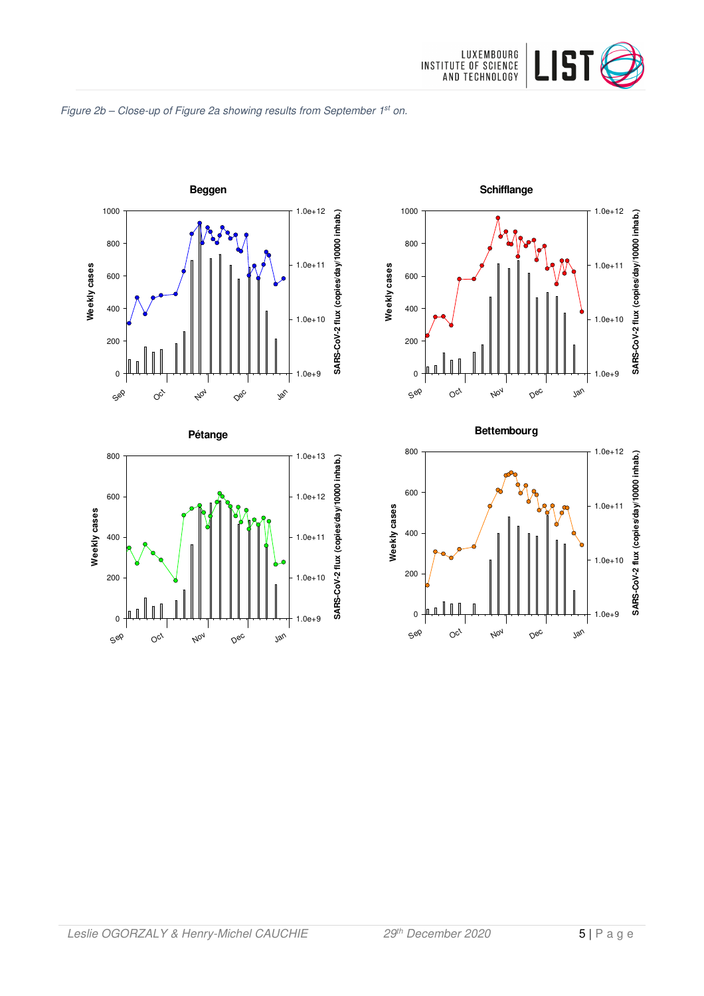

#### Figure 2b - Close-up of Figure 2a showing results from September 1st on.







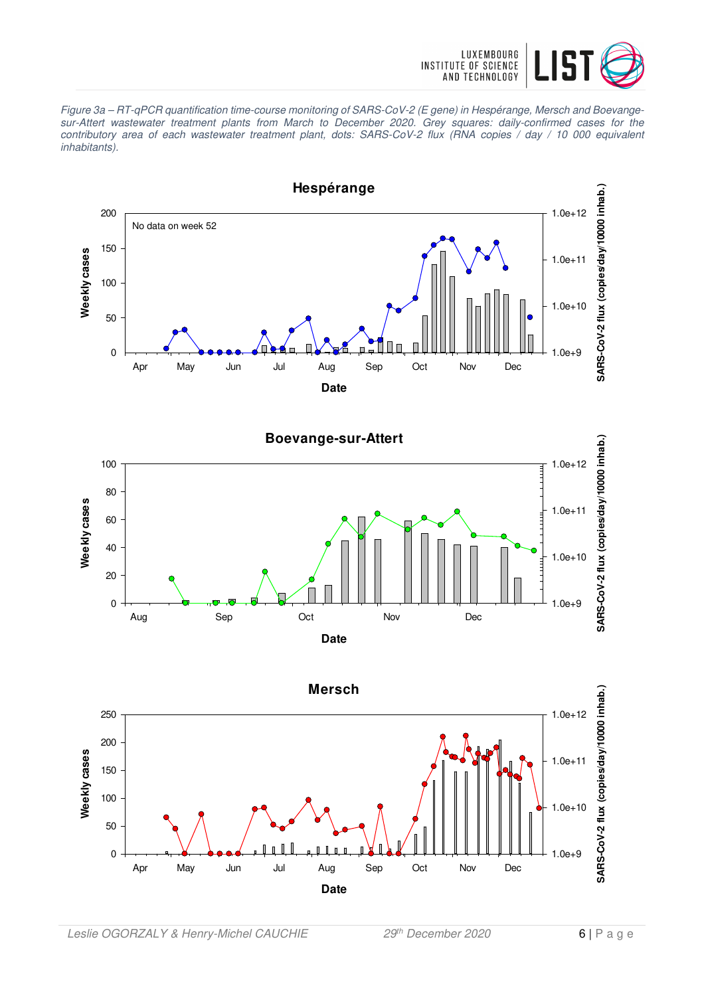

Figure 3a – RT-qPCR quantification time-course monitoring of SARS-CoV-2 (E gene) in Hespérange, Mersch and Boevangesur-Attert wastewater treatment plants from March to December 2020. Grey squares: daily-confirmed cases for the contributory area of each wastewater treatment plant, dots: SARS-CoV-2 flux (RNA copies / day / 10 000 equivalent inhabitants).

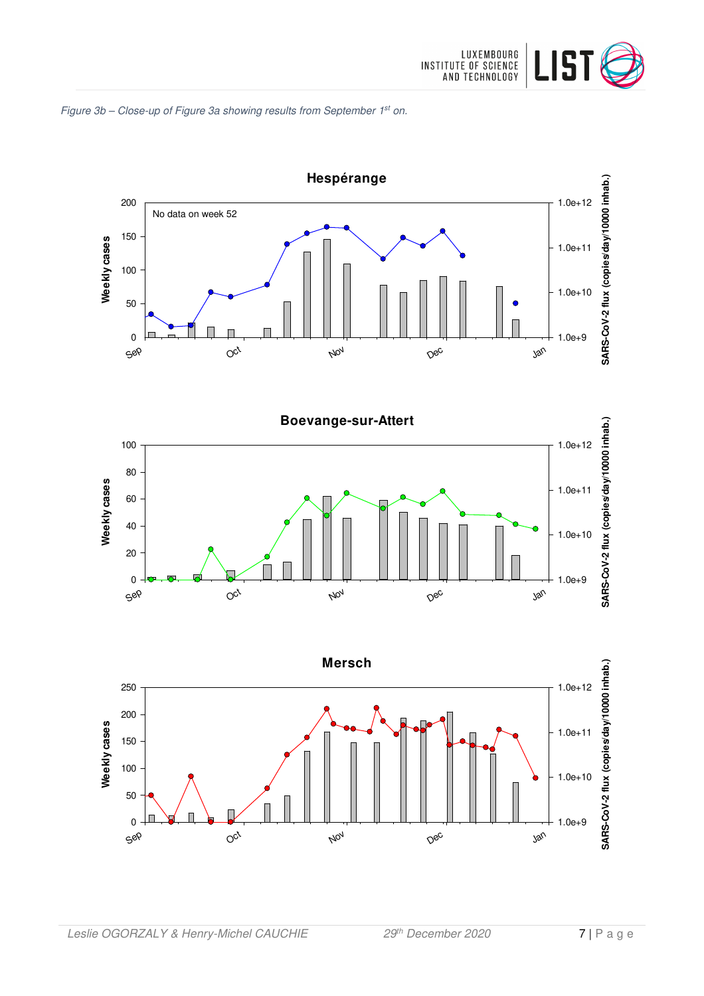







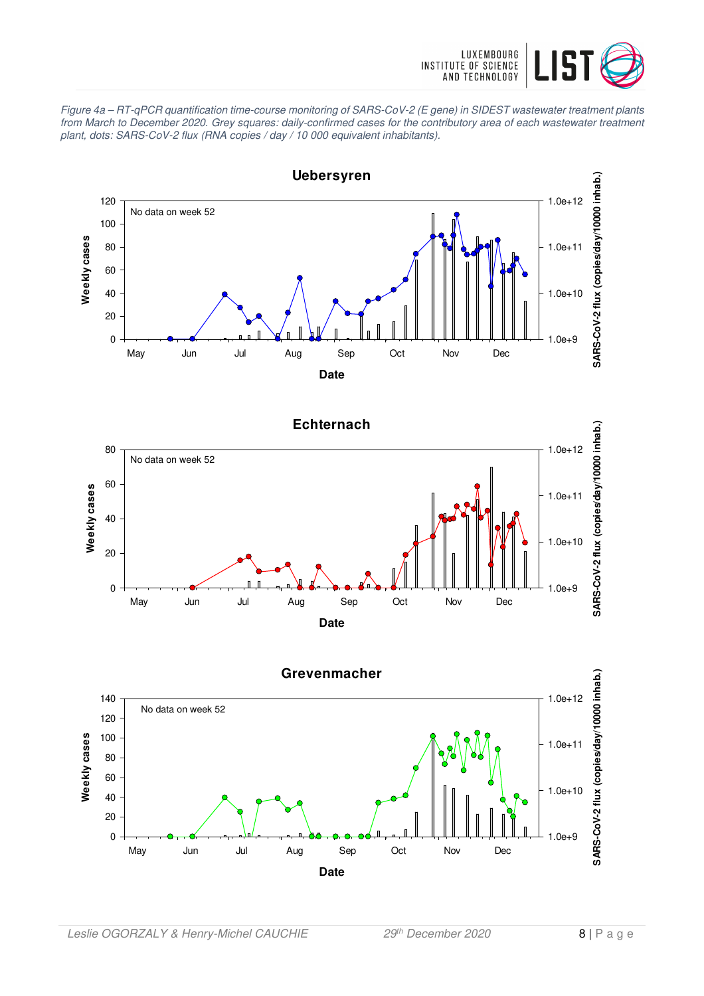

Figure 4a – RT-qPCR quantification time-course monitoring of SARS-CoV-2 (E gene) in SIDEST wastewater treatment plants from March to December 2020. Grey squares: daily-confirmed cases for the contributory area of each wastewater treatment plant, dots: SARS-CoV-2 flux (RNA copies / day / 10 000 equivalent inhabitants).



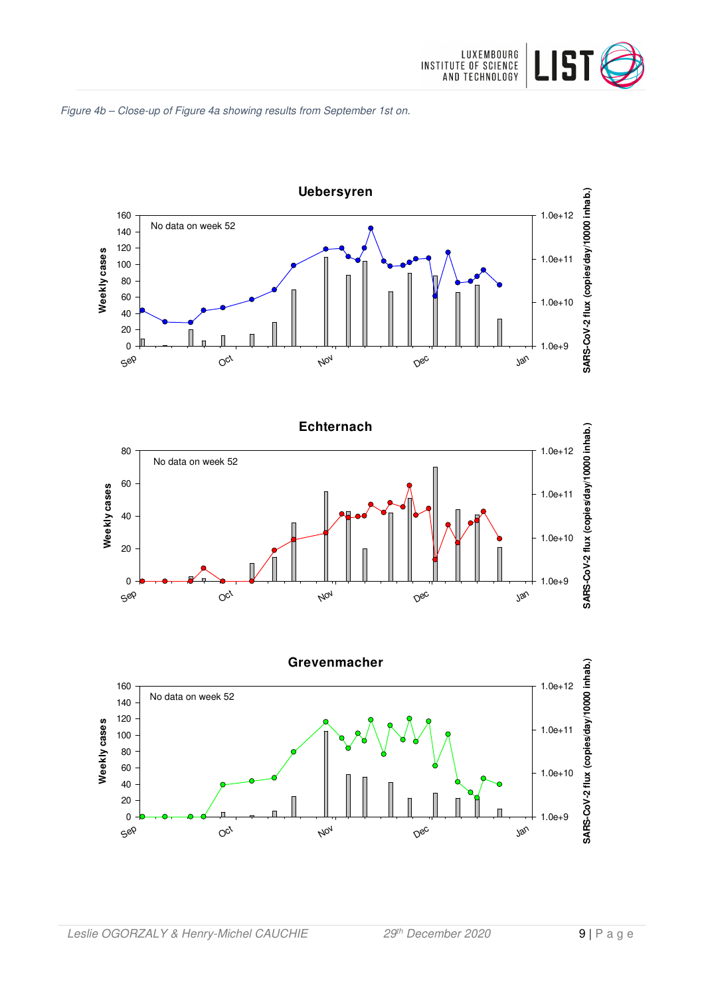







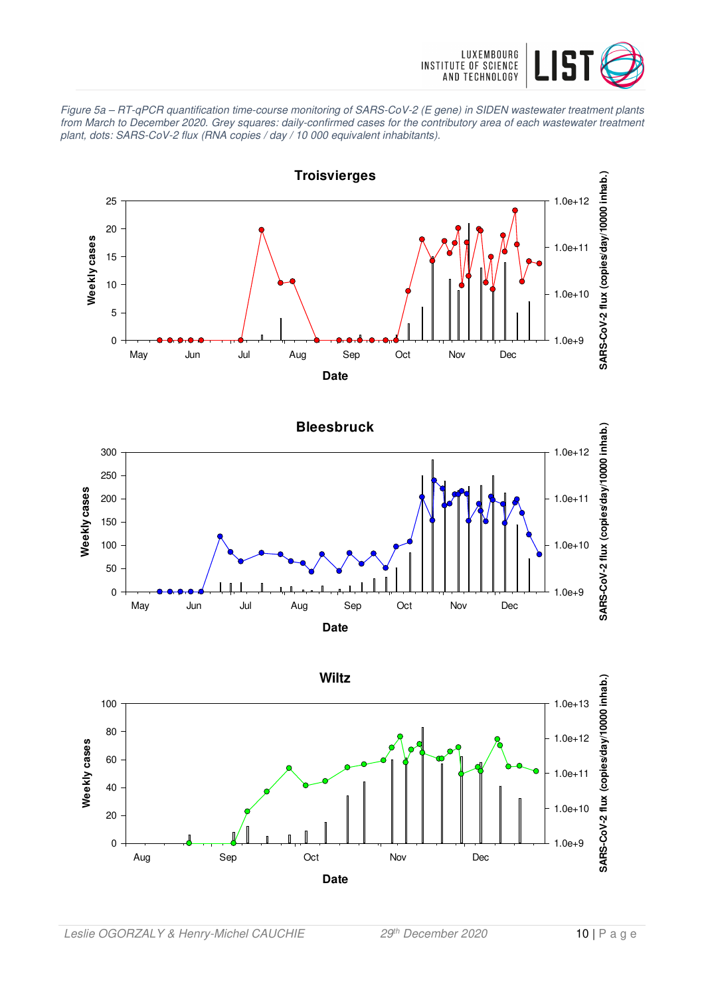

Figure 5a – RT-qPCR quantification time-course monitoring of SARS-CoV-2 (E gene) in SIDEN wastewater treatment plants from March to December 2020. Grey squares: daily-confirmed cases for the contributory area of each wastewater treatment plant, dots: SARS-CoV-2 flux (RNA copies / day / 10 000 equivalent inhabitants).



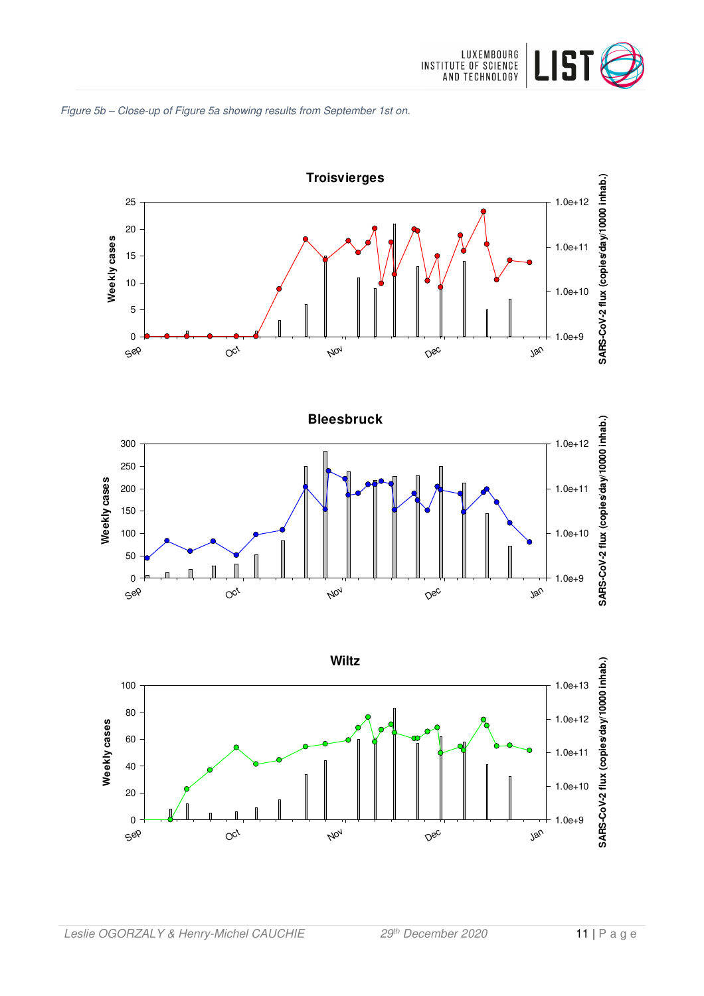





Jan

1.0e+9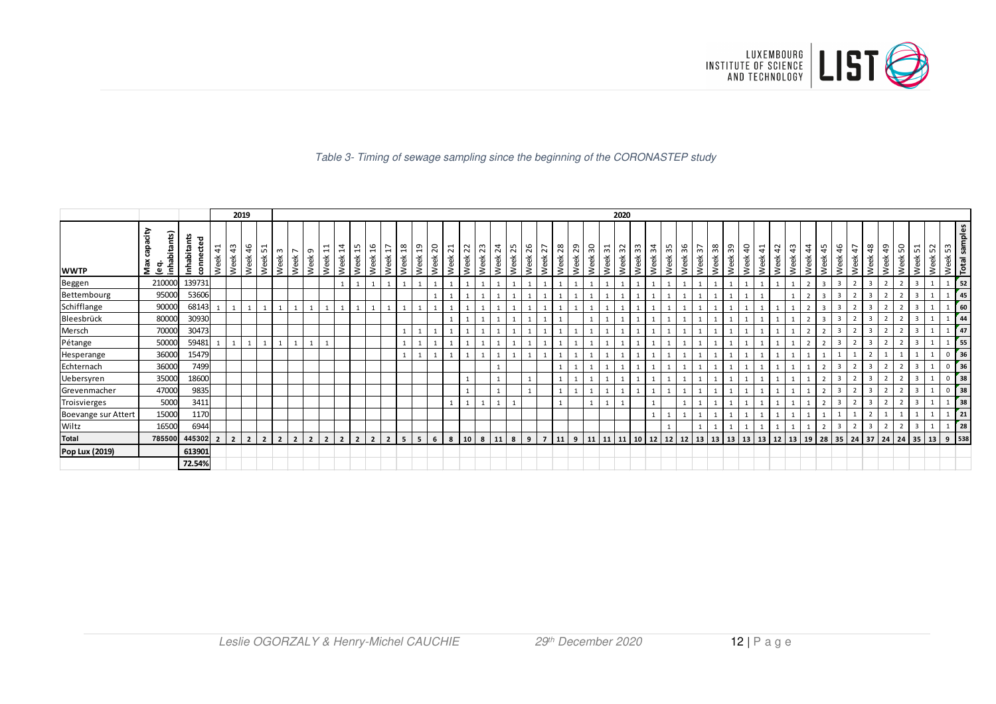

#### Table 3- Timing of sewage sampling since the beginning of the CORONASTEP study

|                     |                                  |                       |         |                       | 2019           |                                        |                        |                   |           |                                       |                       |                |                         |                          |                    |   |            |                         |                         |            |                 |            |                |            |         |            |         |                                  | 2020    |               |         |            |         |         |         |         |         |            |                        |                       |                    |                         |                       |            |                |                        |              |         |                       |             |                 |
|---------------------|----------------------------------|-----------------------|---------|-----------------------|----------------|----------------------------------------|------------------------|-------------------|-----------|---------------------------------------|-----------------------|----------------|-------------------------|--------------------------|--------------------|---|------------|-------------------------|-------------------------|------------|-----------------|------------|----------------|------------|---------|------------|---------|----------------------------------|---------|---------------|---------|------------|---------|---------|---------|---------|---------|------------|------------------------|-----------------------|--------------------|-------------------------|-----------------------|------------|----------------|------------------------|--------------|---------|-----------------------|-------------|-----------------|
| <b>WWTP</b>         | ćity<br>inhabitants)<br>Max<br>உ | Inhabitants<br>ъ<br>ā | Week 41 | $\frac{4}{3}$<br>Week | 46<br>Week     | $\overline{\phantom{0}}$<br>ທ∣<br>Week | m <sub>n</sub><br>Week | Week <sup>-</sup> | თ<br>Week | 1<br>$\overline{\phantom{0}}$<br>Week | $\frac{4}{3}$<br>Week | 15<br>Week:    | 16<br>Week              | $\overline{17}$<br>Week: | Week 18<br>Week 19 |   | 20<br>Week | 21<br>Week <sup>2</sup> | $\overline{2}$<br>Week: | 23<br>Week | $^{24}$<br>Week | 25<br>Week | 26<br>Week:    | 27<br>Week | Week 28 | 29<br>Week | Week 30 | $\overline{ }$<br>$\sim$<br>Week | Week 32 | ്റ്റ്<br>Week | Week 34 | 35<br>Week | Week 36 | Week 37 | Week 38 | Week 39 | Week 40 | 41<br>Week | $\overline{a}$<br>Week | $\frac{3}{4}$<br>Week | $\ddot{4}$<br>Week | 45<br>Week              | $\frac{9}{4}$<br>Week | 47<br>Week | 48<br>Week     | $\overline{a}$<br>Week | ន<br>ΨÃ<br>২ | Week 51 | $\sim$<br>in.<br>Week | Week 53     | Total samples   |
| Beggen              | 210000                           | 139731                |         |                       |                |                                        |                        |                   |           |                                       |                       |                |                         |                          |                    |   |            |                         |                         |            |                 |            |                |            |         |            |         |                                  |         |               |         |            |         |         |         |         |         |            |                        |                       |                    | $\overline{\mathbf{a}}$ | $\mathbf{3}$          |            | $\overline{3}$ |                        |              |         |                       |             | 52              |
| Bettembourg         | 95000                            | 53606                 |         |                       |                |                                        |                        |                   |           |                                       |                       |                |                         |                          |                    |   |            |                         |                         |            |                 |            |                |            |         |            |         |                                  |         |               |         |            |         |         |         |         |         |            |                        |                       |                    | $\overline{3}$          |                       |            |                |                        |              |         |                       |             | 45              |
| Schifflange         | 90000                            | 68143                 |         |                       |                |                                        |                        |                   |           |                                       |                       |                |                         |                          |                    |   |            |                         |                         |            |                 |            |                |            |         |            |         |                                  |         |               |         |            |         |         |         |         |         |            |                        |                       |                    |                         |                       |            |                |                        |              |         |                       |             | 60              |
| Bleesbrück          | 80000                            | 30930                 |         |                       |                |                                        |                        |                   |           |                                       |                       |                |                         |                          |                    |   |            |                         |                         |            |                 |            |                |            |         |            |         |                                  |         |               |         |            |         |         |         |         |         |            |                        |                       |                    |                         | $\mathbf{3}$          |            |                |                        |              |         |                       |             | 44              |
| Mersch              | 70000                            | 30473                 |         |                       |                |                                        |                        |                   |           |                                       |                       |                |                         |                          |                    |   |            |                         |                         |            |                 |            |                |            |         |            |         |                                  |         |               |         |            |         |         |         |         |         |            |                        |                       |                    |                         |                       |            |                |                        |              |         |                       |             | 147             |
| Pétange             | 50000                            | 59481                 |         |                       |                |                                        |                        |                   |           |                                       |                       |                |                         |                          |                    |   |            |                         |                         |            |                 |            |                |            |         |            |         |                                  |         |               |         |            |         |         |         |         |         |            |                        |                       |                    |                         |                       |            |                |                        |              |         |                       |             | 55              |
| Hesperange          | 36000                            | 15479                 |         |                       |                |                                        |                        |                   |           |                                       |                       |                |                         |                          |                    |   |            |                         |                         |            |                 |            |                |            |         |            |         |                                  |         |               |         |            |         |         |         |         |         |            |                        |                       |                    |                         |                       |            |                |                        |              |         |                       | $\mathbf 0$ | 36              |
| Echternach          | 36000                            | 7499                  |         |                       |                |                                        |                        |                   |           |                                       |                       |                |                         |                          |                    |   |            |                         |                         |            |                 |            |                |            |         |            |         |                                  |         |               |         |            |         |         |         |         |         |            |                        |                       |                    |                         | 3                     |            | 3              |                        |              |         |                       | $\mathbf 0$ | 36              |
| Uebersyren          | 35000                            | 18600                 |         |                       |                |                                        |                        |                   |           |                                       |                       |                |                         |                          |                    |   |            |                         |                         |            |                 |            |                |            |         |            |         |                                  |         |               |         |            |         |         |         |         |         |            |                        |                       |                    |                         |                       |            |                |                        |              |         |                       | $\Omega$    | 38              |
| Grevenmacher        | 47000                            | 9835                  |         |                       |                |                                        |                        |                   |           |                                       |                       |                |                         |                          |                    |   |            |                         |                         |            |                 |            |                |            |         |            |         |                                  |         |               |         |            |         |         |         |         |         |            |                        |                       |                    |                         | 3                     |            |                |                        |              |         |                       | $\mathbf 0$ | 38              |
| Troisvierges        | 5000                             | 3411                  |         |                       |                |                                        |                        |                   |           |                                       |                       |                |                         |                          |                    |   |            |                         |                         |            |                 |            |                |            |         |            |         |                                  |         |               |         |            |         |         |         |         |         |            |                        |                       |                    |                         | $\overline{3}$        |            | $\overline{3}$ |                        |              |         |                       |             | 138             |
| Boevange sur Attert | 15000                            | 1170                  |         |                       |                |                                        |                        |                   |           |                                       |                       |                |                         |                          |                    |   |            |                         |                         |            |                 |            |                |            |         |            |         |                                  |         |               |         |            |         |         |         |         |         |            |                        |                       |                    |                         |                       |            |                |                        |              |         |                       |             | 21              |
| Wiltz               | 16500                            | 6944                  |         |                       |                |                                        |                        |                   |           |                                       |                       |                |                         |                          |                    |   |            |                         |                         |            |                 |            |                |            |         |            |         |                                  |         |               |         |            |         |         |         |         |         |            |                        |                       |                    |                         | $\mathbf{3}$          |            | $\overline{3}$ |                        |              |         |                       |             | $\overline{28}$ |
| <b>Total</b>        | 785500                           | 445302                |         | $\overline{2}$        | $\overline{2}$ | $\overline{2}$                         | $\overline{2}$         | $\overline{2}$    |           | $\overline{2}$                        |                       | $\overline{2}$ | $\overline{\mathbf{z}}$ | $\overline{\mathbf{z}}$  | 5 <sup>1</sup>     | 5 | 6          | 8                       | 10 <sup>1</sup>         | 8          | 11              | 8          | $\overline{9}$ |            | 11      | 9          | 11      | $-1111$                          | 11      | 10            | 12      | 12         | 12      | 13      | 13      | 13      | 13 13   |            | 12                     | 13                    | 19 <sup>1</sup>    | 28                      | 35                    | 24         |                | $37$ 24                | 24           | 35      | 13                    | 9 538       |                 |
| Pop Lux (2019)      |                                  | 613901                |         |                       |                |                                        |                        |                   |           |                                       |                       |                |                         |                          |                    |   |            |                         |                         |            |                 |            |                |            |         |            |         |                                  |         |               |         |            |         |         |         |         |         |            |                        |                       |                    |                         |                       |            |                |                        |              |         |                       |             |                 |
|                     |                                  | 72.54%                |         |                       |                |                                        |                        |                   |           |                                       |                       |                |                         |                          |                    |   |            |                         |                         |            |                 |            |                |            |         |            |         |                                  |         |               |         |            |         |         |         |         |         |            |                        |                       |                    |                         |                       |            |                |                        |              |         |                       |             |                 |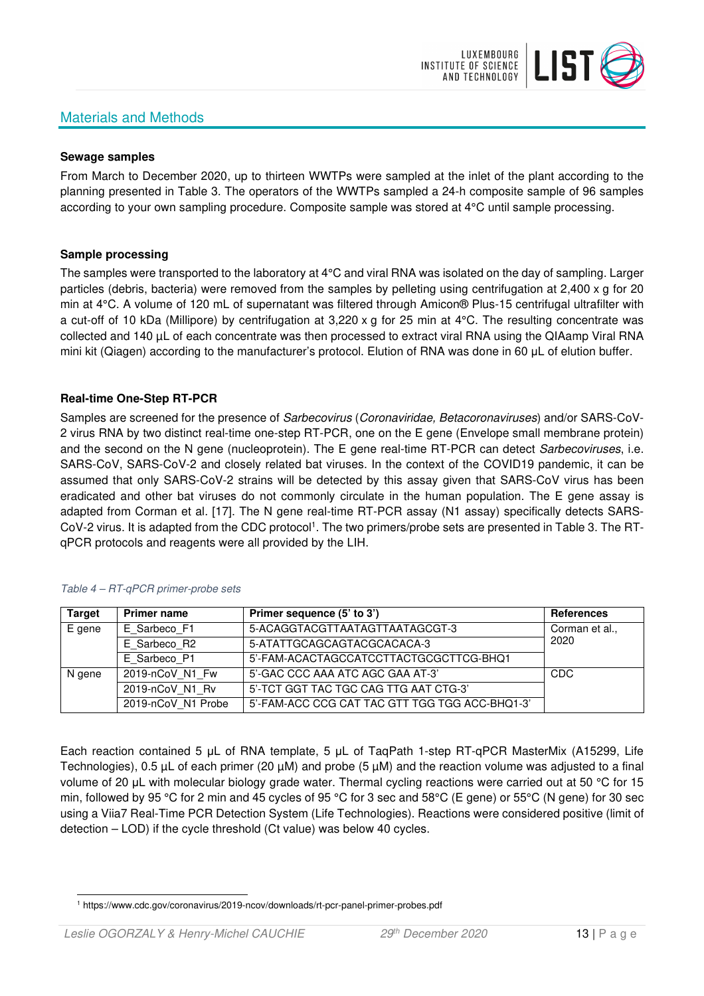# Materials and Methods



#### **Sewage samples**

From March to December 2020, up to thirteen WWTPs were sampled at the inlet of the plant according to the planning presented in Table 3. The operators of the WWTPs sampled a 24-h composite sample of 96 samples according to your own sampling procedure. Composite sample was stored at 4°C until sample processing.

#### **Sample processing**

The samples were transported to the laboratory at 4°C and viral RNA was isolated on the day of sampling. Larger particles (debris, bacteria) were removed from the samples by pelleting using centrifugation at 2,400 x g for 20 min at 4°C. A volume of 120 mL of supernatant was filtered through Amicon® Plus-15 centrifugal ultrafilter with a cut-off of 10 kDa (Millipore) by centrifugation at 3,220 x g for 25 min at 4°C. The resulting concentrate was collected and 140 µL of each concentrate was then processed to extract viral RNA using the QIAamp Viral RNA mini kit (Qiagen) according to the manufacturer's protocol. Elution of RNA was done in 60 μL of elution buffer.

### **Real-time One-Step RT-PCR**

Samples are screened for the presence of *Sarbecovirus (Coronaviridae, Betacoronaviruses*) and/or SARS-CoV-2 virus RNA by two distinct real-time one-step RT-PCR, one on the E gene (Envelope small membrane protein) and the second on the N gene (nucleoprotein). The E gene real-time RT-PCR can detect Sarbecoviruses, i.e. SARS-CoV, SARS-CoV-2 and closely related bat viruses. In the context of the COVID19 pandemic, it can be assumed that only SARS-CoV-2 strains will be detected by this assay given that SARS-CoV virus has been eradicated and other bat viruses do not commonly circulate in the human population. The E gene assay is adapted from Corman et al. [17]. The N gene real-time RT-PCR assay (N1 assay) specifically detects SARS-CoV-2 virus. It is adapted from the CDC protocol<sup>1</sup>. The two primers/probe sets are presented in Table 3. The RTqPCR protocols and reagents were all provided by the LIH.

| <b>Target</b> | <b>Primer name</b> | Primer sequence (5' to 3')                     | <b>References</b> |
|---------------|--------------------|------------------------------------------------|-------------------|
| E gene        | E Sarbeco F1       | 5-ACAGGTACGTTAATAGTTAATAGCGT-3                 | Corman et al.,    |
|               | E Sarbeco R2       | 5-ATATTGCAGCAGTACGCACACA-3                     | 2020              |
|               | E Sarbeco P1       | 5'-FAM-ACACTAGCCATCCTTACTGCGCTTCG-BHQ1         |                   |
| N gene        | 2019-nCoV N1 Fw    | 5'-GAC CCC AAA ATC AGC GAA AT-3'               | <b>CDC</b>        |
|               | 2019-nCoV N1 Rv    | 5'-TCT GGT TAC TGC CAG TTG AAT CTG-3'          |                   |
|               | 2019-nCoV N1 Probe | 5'-FAM-ACC CCG CAT TAC GTT TGG TGG ACC-BHQ1-3' |                   |

#### Table 4 – RT-qPCR primer-probe sets

Each reaction contained 5 μL of RNA template, 5 μL of TaqPath 1-step RT-qPCR MasterMix (A15299, Life Technologies), 0.5 µL of each primer (20 µM) and probe (5 µM) and the reaction volume was adjusted to a final volume of 20 μL with molecular biology grade water. Thermal cycling reactions were carried out at 50 °C for 15 min, followed by 95 °C for 2 min and 45 cycles of 95 °C for 3 sec and 58°C (E gene) or 55°C (N gene) for 30 sec using a Viia7 Real-Time PCR Detection System (Life Technologies). Reactions were considered positive (limit of detection – LOD) if the cycle threshold (Ct value) was below 40 cycles.

<sup>1</sup> https://www.cdc.gov/coronavirus/2019-ncov/downloads/rt-pcr-panel-primer-probes.pdf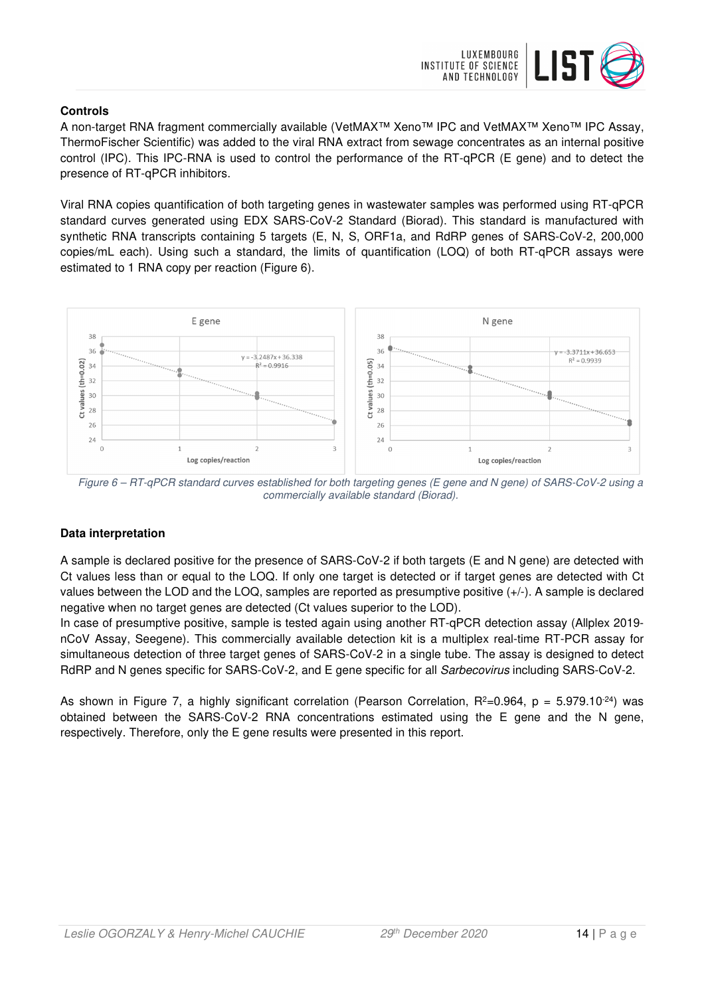

## **Controls**

A non-target RNA fragment commercially available (VetMAX™ Xeno™ IPC and VetMAX™ Xeno™ IPC Assay, ThermoFischer Scientific) was added to the viral RNA extract from sewage concentrates as an internal positive control (IPC). This IPC-RNA is used to control the performance of the RT-qPCR (E gene) and to detect the presence of RT-qPCR inhibitors.

Viral RNA copies quantification of both targeting genes in wastewater samples was performed using RT-qPCR standard curves generated using EDX SARS-CoV-2 Standard (Biorad). This standard is manufactured with synthetic RNA transcripts containing 5 targets (E, N, S, ORF1a, and RdRP genes of SARS-CoV-2, 200,000 copies/mL each). Using such a standard, the limits of quantification (LOQ) of both RT-qPCR assays were estimated to 1 RNA copy per reaction (Figure 6).



Figure 6 – RT-qPCR standard curves established for both targeting genes (E gene and N gene) of SARS-CoV-2 using a commercially available standard (Biorad).

# **Data interpretation**

A sample is declared positive for the presence of SARS-CoV-2 if both targets (E and N gene) are detected with Ct values less than or equal to the LOQ. If only one target is detected or if target genes are detected with Ct values between the LOD and the LOQ, samples are reported as presumptive positive (+/-). A sample is declared negative when no target genes are detected (Ct values superior to the LOD).

In case of presumptive positive, sample is tested again using another RT-qPCR detection assay (Allplex 2019 nCoV Assay, Seegene). This commercially available detection kit is a multiplex real-time RT-PCR assay for simultaneous detection of three target genes of SARS-CoV-2 in a single tube. The assay is designed to detect RdRP and N genes specific for SARS-CoV-2, and E gene specific for all Sarbecovirus including SARS-CoV-2.

As shown in Figure 7, a highly significant correlation (Pearson Correlation,  $R^2=0.964$ ,  $p = 5.979.10^{-24}$ ) was obtained between the SARS-CoV-2 RNA concentrations estimated using the E gene and the N gene, respectively. Therefore, only the E gene results were presented in this report.